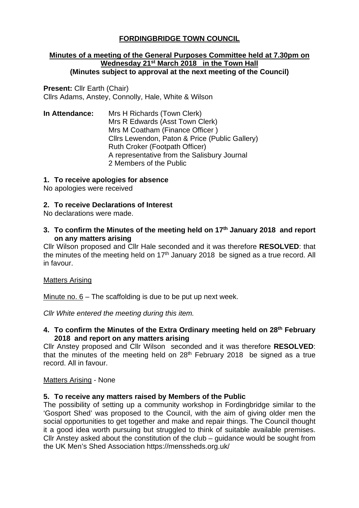## **FORDINGBRIDGE TOWN COUNCIL**

#### **Minutes of a meeting of the General Purposes Committee held at 7.30pm on Wednesday 21st March 2018 in the Town Hall (Minutes subject to approval at the next meeting of the Council)**

**Present:** Cllr Earth (Chair) Cllrs Adams, Anstey, Connolly, Hale, White & Wilson

**In Attendance:** Mrs H Richards (Town Clerk) Mrs R Edwards (Asst Town Clerk) Mrs M Coatham (Finance Officer ) Cllrs Lewendon, Paton & Price (Public Gallery) Ruth Croker (Footpath Officer) A representative from the Salisbury Journal 2 Members of the Public

#### **1. To receive apologies for absence**

No apologies were received

### **2. To receive Declarations of Interest**

No declarations were made.

**3. To confirm the Minutes of the meeting held on 17th January 2018 and report on any matters arising**

Cllr Wilson proposed and Cllr Hale seconded and it was therefore **RESOLVED**: that the minutes of the meeting held on  $17<sup>th</sup>$  January 2018 be signed as a true record. All in favour.

#### Matters Arising

Minute no. 6 – The scaffolding is due to be put up next week.

*Cllr White entered the meeting during this item.* 

### **4. To confirm the Minutes of the Extra Ordinary meeting held on 28th February 2018 and report on any matters arising**

Cllr Anstey proposed and Cllr Wilson seconded and it was therefore **RESOLVED**: that the minutes of the meeting held on  $28<sup>th</sup>$  February 2018 be signed as a true record. All in favour.

#### Matters Arising - None

### **5. To receive any matters raised by Members of the Public**

The possibility of setting up a community workshop in Fordingbridge similar to the 'Gosport Shed' was proposed to the Council, with the aim of giving older men the social opportunities to get together and make and repair things. The Council thought it a good idea worth pursuing but struggled to think of suitable available premises. Cllr Anstey asked about the constitution of the club – guidance would be sought from the UK Men's Shed Association https://menssheds.org.uk/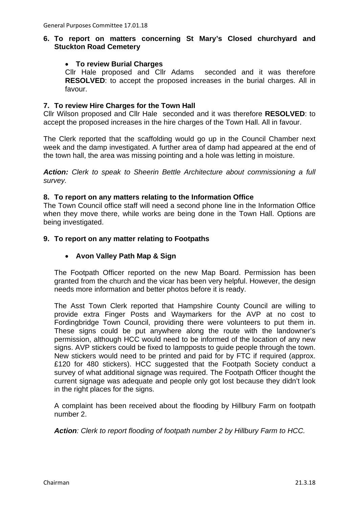### **6. To report on matters concerning St Mary's Closed churchyard and Stuckton Road Cemetery**

### • **To review Burial Charges**

Cllr Hale proposed and Cllr Adams seconded and it was therefore **RESOLVED**: to accept the proposed increases in the burial charges. All in favour.

### **7. To review Hire Charges for the Town Hall**

Cllr Wilson proposed and Cllr Hale seconded and it was therefore **RESOLVED**: to accept the proposed increases in the hire charges of the Town Hall. All in favour.

The Clerk reported that the scaffolding would go up in the Council Chamber next week and the damp investigated. A further area of damp had appeared at the end of the town hall, the area was missing pointing and a hole was letting in moisture.

*Action: Clerk to speak to Sheerin Bettle Architecture about commissioning a full survey.* 

### **8. To report on any matters relating to the Information Office**

The Town Council office staff will need a second phone line in the Information Office when they move there, while works are being done in the Town Hall. Options are being investigated.

### **9. To report on any matter relating to Footpaths**

### • **Avon Valley Path Map & Sign**

The Footpath Officer reported on the new Map Board. Permission has been granted from the church and the vicar has been very helpful. However, the design needs more information and better photos before it is ready.

The Asst Town Clerk reported that Hampshire County Council are willing to provide extra Finger Posts and Waymarkers for the AVP at no cost to Fordingbridge Town Council, providing there were volunteers to put them in. These signs could be put anywhere along the route with the landowner's permission, although HCC would need to be informed of the location of any new signs. AVP stickers could be fixed to lampposts to guide people through the town. New stickers would need to be printed and paid for by FTC if required (approx. £120 for 480 stickers). HCC suggested that the Footpath Society conduct a survey of what additional signage was required. The Footpath Officer thought the current signage was adequate and people only got lost because they didn't look in the right places for the signs.

A complaint has been received about the flooding by Hillbury Farm on footpath number 2.

*Action: Clerk to report flooding of footpath number 2 by Hillbury Farm to HCC.*